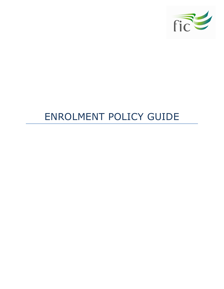

# ENROLMENT POLICY GUIDE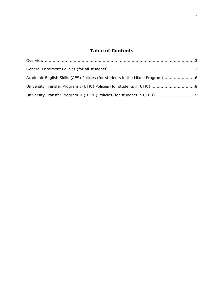# Table of Contents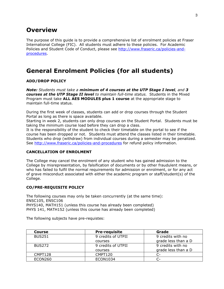# **Overview**

The purpose of this guide is to provide a comprehensive list of enrolment policies at Fraser International College (FIC). All students must adhere to these policies. For Academic Policies and Student Code of Conduct, please see http://www.fraseric.ca/policies-andprocedures.

# General Enrolment Policies (for all students)

## ADD/DROP POLICY

Note: Students must take a minimum of 4 courses at the UTP Stage I level, and 3 courses at the UTP Stage II level to maintain full-time status. Students in the Mixed Program must take ALL AES MODULES plus 1 course at the appropriate stage to maintain full-time status.

During the first week of classes, students can add or drop courses through the Student Portal as long as there is space available.

Starting in week 2, students can only drop courses on the Student Portal. Students must be taking the minimum course load before they can drop a class.

It is the responsibility of the student to check their timetable on the portal to see if the course has been dropped or not. Students must attend the classes listed in their timetable. Students who drop (withdraw) from individual courses during a semester may be penalized. See http://www.fraseric.ca/policies-and-procedures for refund policy information.

### CANCELLATION OF ENROLMENT

The College may cancel the enrolment of any student who has gained admission to the College by misrepresentation, by falsification of documents or by other fraudulent means, or who has failed to fulfil the normal requirements for admission or enrolment, or for any act of grave misconduct associated with either the academic program or staff/student(s) of the College.

# CO/PRE-REQUISITE POLICY

The following courses may only be taken concurrently (at the same time): ENSC105, ENSC106 PHYS140, MATH151 (unless this course has already been completed) PHYS 141, MATH152 (unless this course has already been completed)

The following subjects have pre-requistes:

| <b>Course</b>      | <b>Pre-requisite</b> | Grade               |
|--------------------|----------------------|---------------------|
| <b>BUS251</b>      | 9 credits of UTPII   | 9 credits with no   |
|                    | courses              | grade less than a D |
| BUS <sub>272</sub> | 9 credits of UTPII   | 9 credits with no   |
|                    | courses              | grade less than a D |
| CMPT128            | CMPT120              | C-                  |
| ECON260            | ECON1034             |                     |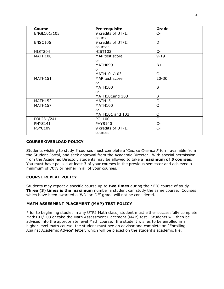| <b>Course</b>  | <b>Pre-requisite</b> | Grade        |
|----------------|----------------------|--------------|
| ENGL101/105    | 9 credits of UTPII   | $C-$         |
|                | courses              |              |
| <b>ENSC106</b> | 9 credits of UTPII   | D            |
|                | courses              |              |
| <b>HIST204</b> | HIST102              | $C-$         |
| <b>MATH100</b> | MAP test score       | $9 - 19$     |
|                | <b>or</b>            |              |
|                | MATH099              | $B+$         |
|                | or.                  |              |
|                | MATH101/103          | $\mathsf{C}$ |
| MATH151        | MAP test score       | $20 - 30$    |
|                | <b>or</b>            |              |
|                | <b>MATH100</b>       | B            |
|                | or                   |              |
|                | MATH101and 103       | B            |
| <b>MATH152</b> | MATH151              | $C-$         |
| <b>MATH157</b> | <b>MATH100</b>       | C            |
|                | or                   |              |
|                | MATH101 and 103      | C            |
| POL231/241     | <b>POL100</b>        | $C-$         |
| <b>PHYS141</b> | <b>PHYS140</b>       | $C-$         |
| <b>PSYC109</b> | 9 credits of UTPII   | $C -$        |
|                | courses              |              |

## COURSE OVERLOAD POLICY

Students wishing to study 5 courses must complete a 'Course Overload' form available from the Student Portal, and seek approval from the Academic Director. With special permission from the Academic Director, students may be allowed to take a maximum of 5 courses. You must have passed at least 3 of your courses in the previous semester and achieved a minimum of 70% or higher in all of your courses.

### COURSE REPEAT POLICY

Students may repeat a specific course up to two times during their FIC course of study. **Three (3) times is the maximum** number a student can study the same course. Courses which have been awarded a 'WD' or 'DE' grade will not be considered.

# MATH ASSESMENT PLACEMENT (MAP) TEST POLICY

Prior to beginning studies in any UTP2 Math class, student must either successfully complete Math101/103 or take the Math Assessment Placement (MAP) test. Students will then be advised into the appropriate level Math course. If a student wishes to be enrolled in a higher-level math course, the student must see an advisor and complete an "Enrolling Against Academic Advice" letter, which will be placed on the student's academic file.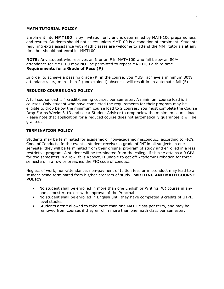#### MATH TUTORIAL POLICY

Enrolment into MMT100 is by invitation only and is determined by MATH100 preparedness and results. Students should not select unless MMT100 is a condition of enrolment. Students requiring extra assistance with Math classes are welcome to attend the MMT tutorials at any time but should not enrol in MMT100.

NOTE: Any student who receives an N or an F in MATH100 who fall below an 80% attendance for MMT100 may NOT be permitted to repeat MATH100 a third time. Requirements for a Grade of Pass (P)

In order to achieve a passing grade (P) in the course, you MUST achieve a minimum 80% attendance, i.e., more than 2 (unexplained) absences will result in an automatic fail (F)

### REDUCED COURSE LOAD POLICY

A full course load is 4 credit-bearing courses per semester. A minimum course load is 3 courses. Only student who have completed the requirements for their program may be eligible to drop below the minimum course load to 2 courses. You must complete the Course Drop Forms Weeks 3-13 and see a Student Adviser to drop below the minimum course load. Please note that application for a reduced course does not automatically guarantee it will be granted.

### TERMINATION POLICY

Students may be terminated for academic or non-academic misconduct, according to FIC's Code of Conduct. In the event a student receives a grade of "N" in all subjects in one semester they will be terminated from their original program of study and enrolled in a less restrictive program. A student will be terminated from the college if she/he attains a 0 GPA for two semesters in a row, fails Reboot, is unable to get off Academic Probation for three semesters in a row or breaches the FIC code of conduct.

Neglect of work, non-attendance, non-payment of tuition fees or misconduct may lead to a student being terminated from his/her program of study. WRITING AND MATH COURSE **POLICY** 

- No student shall be enrolled in more than one English or Writing (W) course in any one semester, except with approval of the Principal.
- No student shall be enrolled in English until they have completed 9 credits of UTPII level studies.
- Students aren't allowed to take more than one MATH class per term, and may be removed from courses if they enrol in more than one math class per semester.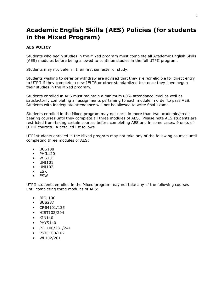# Academic English Skills (AES) Policies (for students in the Mixed Program)

# AES POLICY

Students who begin studies in the Mixed program must complete all Academic English Skills (AES) modules before being allowed to continue studies in the full UTPII program.

Students may not defer in their first semester of study.

Students wishing to defer or withdraw are advised that they are not eligible for direct entry to UTPII if they complete a new IELTS or other standardized test once they have begun their studies in the Mixed program.

Students enrolled in AES must maintain a minimum 80% attendance level as well as satisfactorily completing all assignments pertaining to each module in order to pass AES. Students with inadequate attendance will not be allowed to write final exams.

Students enrolled in the Mixed program may not enrol in more than two academic/credit bearing courses until they complete all three modules of AES. Please note AES students are restricted from taking certain courses before completing AES and in some cases, 9 units of UTPII courses. A detailed list follows.

UTPI students enrolled in the Mixed program may not take any of the following courses until completing three modules of AES:

- BUS108
- $\bullet$  PHIL120
- WIS101
- UNI101
- UNI102
- ESR
- ESW

UTPII students enrolled in the Mixed program may not take any of the following courses until completing three modules of AES:

- BIOL100
- BUS237
- CRIM101/135
- HIST102/204
- KIN140
- PHYS140
- POL100/231/241
- PSYC100/102
- WL102/201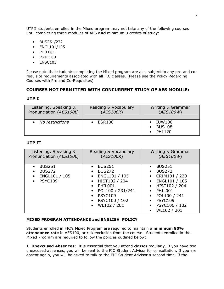UTPII students enrolled in the Mixed program may not take any of the following courses until completing three modules of AES and minimum 9 credits of study:

- BUS251/272
- ENGL101/105
- PHIL001
- PSYC109
- ENSC105

Please note that students completing the Mixed program are also subject to any pre-and corequisite requirements associated with all FIC classes. (Please see the Policy Regarding Courses with Pre and Co-Requisites)

# COURSES NOT PERMITTED WITH CONCURRENT STUDY OF AES MODULE:

## UTP I

| Listening, Speaking &   | Reading & Vocabulary | Writing & Grammar                                  |
|-------------------------|----------------------|----------------------------------------------------|
| Pronunciation (AES100L) | (AES100R)            | (AES100W)                                          |
| • No restrictions       | <b>ESR100</b>        | $\bullet$ IUW100<br><b>BUS108</b><br><b>PHL120</b> |

## UTP II

| Listening, Speaking &                                                                                                 | Reading & Vocabulary                                                                                                                                                                       | Writing & Grammar                                                                                                                                                                                                                                                                                |
|-----------------------------------------------------------------------------------------------------------------------|--------------------------------------------------------------------------------------------------------------------------------------------------------------------------------------------|--------------------------------------------------------------------------------------------------------------------------------------------------------------------------------------------------------------------------------------------------------------------------------------------------|
| Pronunciation (AES100L)                                                                                               | (AES100R)                                                                                                                                                                                  | (AES100W)                                                                                                                                                                                                                                                                                        |
| <b>BUS251</b><br>$\bullet$<br><b>BUS272</b><br>$\bullet$<br>ENGL101 / 105<br>$\bullet$<br><b>PSYC109</b><br>$\bullet$ | $\bullet$ BUS251<br><b>BUS272</b><br>$\bullet$<br>• ENGL101 / 105<br>• HIST102 / 204<br>$\bullet$ PHIL001<br>• POL100 / 231/241<br>$\bullet$ PSYC109<br>• PSYC100 / 102<br>• $WL102 / 201$ | <b>BUS251</b><br>$\bullet$<br><b>BUS272</b><br>$\bullet$<br>CRIM101 / 220<br>$\bullet$<br>ENGL101 / 105<br>$\bullet$<br>HIST102 / 204<br>$\bullet$<br>PHIL001<br>$\bullet$<br>POL100 / 241<br>$\bullet$<br><b>PSYC109</b><br>$\bullet$<br>PSYC100 / 102<br>$\bullet$<br>WL102 / 201<br>$\bullet$ |

### MIXED PROGRAM ATTENDANCE and ENGLISH POLICY

Students enrolled in FIC's Mixed Program are required to maintain a minimum 80% attendance rate in AES100, or risk exclusion from the course. Students enrolled in the Mixed Program are required to follow the policies outlined below:

**1. Unexcused Absences:** It is essential that you attend classes regularly. If you have two unexcused absences, you will be sent to the FIC Student Advisor for consultation. If you are absent again, you will be asked to talk to the FIC Student Advisor a second time. If the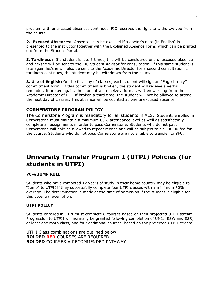problem with unexcused absences continues, FIC reserves the right to withdraw you from the course.

2. Excused Absences: Absences can be excused if a doctor's note (in English) is presented to the instructor together with the Explained Absence Form, which can be printed out from the Student Portal.

**3. Tardiness:** If a student is late 3 times, this will be considered one unexcused absence and he/she will be sent to the FIC Student Advisor for consultation. If this same student is late again he/she will also be sent to the Academic Director for a second consultation. If tardiness continues, the student may be withdrawn from the course.

**3. Use of English:** On the first day of classes, each student will sign an "English-only" commitment form. If this commitment is broken, the student will receive a verbal reminder. If broken again, the student will receive a formal, written warning from the Academic Director of FIC. If broken a third time, the student will not be allowed to attend the next day of classes. This absence will be counted as one unexcused absence.

# CORNERSTONE PROGRAM POLICY

The Cornerstone Program is mandatory for all students in AES. Students enrolled in Cornerstone must maintain a minimum 80% attendance level as well as satisfactorily complete all assignments in order to pass Cornerstone. Students who do not pass Cornerstone will only be allowed to repeat it once and will be subject to a \$500.00 fee for the course. Students who do not pass Cornerstone are not eligible to transfer to SFU.

# University Transfer Program I (UTPI) Policies (for students in UTPI)

#### 70% JUMP RULE

Students who have competed 12 years of study in their home country may be eligible to "Jump" to UTPII if they successfully complete four UTPI classes with a minimum 70% average. The determination is made at the time of admission if the student is eligible for this potential exemption.

#### UTPI POLICY

Students enrolled in UTPI must complete 8 courses based on their projected UTPII stream. Progression to UTPII will normally be granted following completion of UNI1, ESW and ESR, at least one math class, and four additional courses, based on the projected UTPII stream.

UTP I Class combinations are outlined below. BOLDED RED COURSES ARE REQUIRED BOLDED COURSES = RECOMMENDED PATHWAY